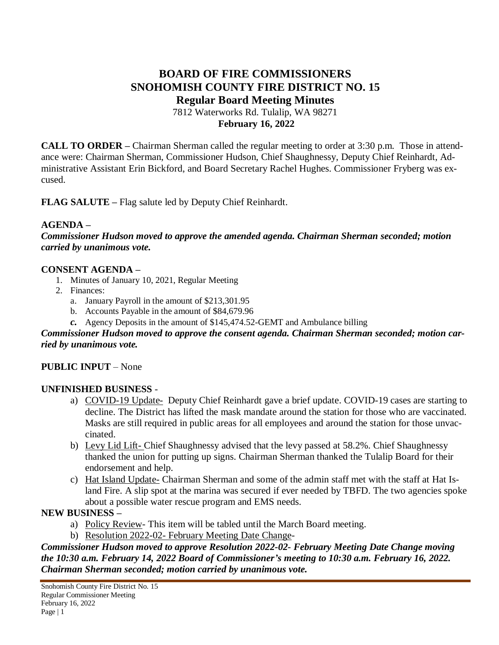# **BOARD OF FIRE COMMISSIONERS SNOHOMISH COUNTY FIRE DISTRICT NO. 15 Regular Board Meeting Minutes** 7812 Waterworks Rd. Tulalip, WA 98271

**February 16, 2022**

**CALL TO ORDER –** Chairman Sherman called the regular meeting to order at 3:30 p.m. Those in attendance were: Chairman Sherman, Commissioner Hudson, Chief Shaughnessy, Deputy Chief Reinhardt, Administrative Assistant Erin Bickford, and Board Secretary Rachel Hughes. Commissioner Fryberg was excused.

**FLAG SALUTE –** Flag salute led by Deputy Chief Reinhardt.

#### **AGENDA –**

*Commissioner Hudson moved to approve the amended agenda. Chairman Sherman seconded; motion carried by unanimous vote.*

#### **CONSENT AGENDA –**

- 1. Minutes of January 10, 2021, Regular Meeting
- 2. Finances:
	- a. January Payroll in the amount of \$213,301.95
	- b. Accounts Payable in the amount of \$84,679.96
	- *c.* Agency Deposits in the amount of \$145,474.52-GEMT and Ambulance billing

#### *Commissioner Hudson moved to approve the consent agenda. Chairman Sherman seconded; motion carried by unanimous vote.*

#### **PUBLIC INPUT** – None

#### **UNFINISHED BUSINESS** -

- a) COVID-19 Update- Deputy Chief Reinhardt gave a brief update. COVID-19 cases are starting to decline. The District has lifted the mask mandate around the station for those who are vaccinated. Masks are still required in public areas for all employees and around the station for those unvaccinated.
- b) Levy Lid Lift- Chief Shaughnessy advised that the levy passed at 58.2%. Chief Shaughnessy thanked the union for putting up signs. Chairman Sherman thanked the Tulalip Board for their endorsement and help.
- c) Hat Island Update- Chairman Sherman and some of the admin staff met with the staff at Hat Island Fire. A slip spot at the marina was secured if ever needed by TBFD. The two agencies spoke about a possible water rescue program and EMS needs.

## **NEW BUSINESS –**

- a) Policy Review- This item will be tabled until the March Board meeting.
- b) Resolution 2022-02- February Meeting Date Change-

*Commissioner Hudson moved to approve Resolution 2022-02- February Meeting Date Change moving the 10:30 a.m. February 14, 2022 Board of Commissioner's meeting to 10:30 a.m. February 16, 2022. Chairman Sherman seconded; motion carried by unanimous vote.*